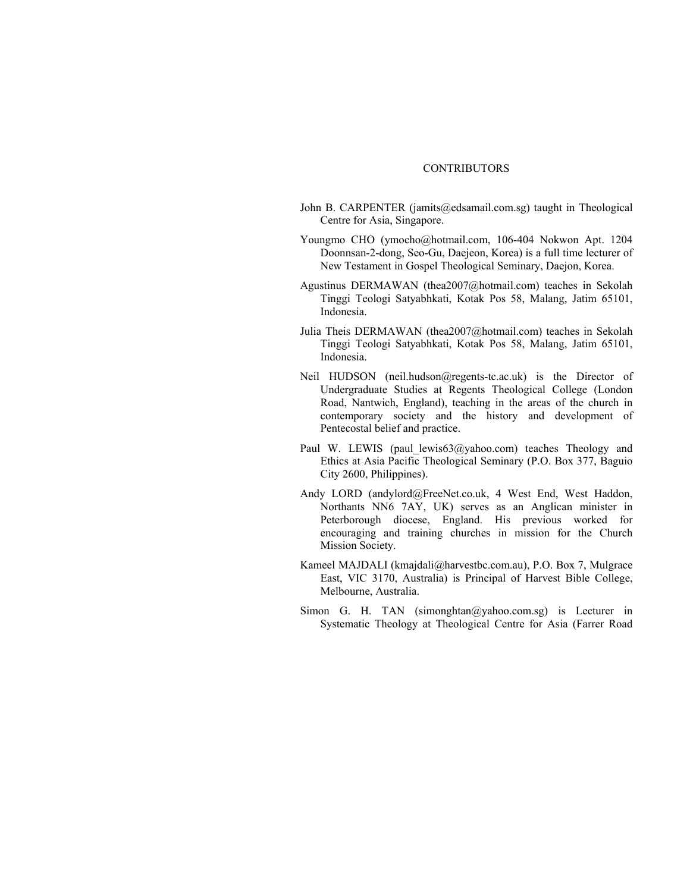## **CONTRIBUTORS**

- John B. CARPENTER (jamits@edsamail.com.sg) taught in Theological Centre for Asia, Singapore.
- Youngmo CHO (ymocho@hotmail.com, 106-404 Nokwon Apt. 1204 Doonnsan-2-dong, Seo-Gu, Daejeon, Korea) is a full time lecturer of New Testament in Gospel Theological Seminary, Daejon, Korea.
- Agustinus DERMAWAN (thea2007@hotmail.com) teaches in Sekolah Tinggi Teologi Satyabhkati, Kotak Pos 58, Malang, Jatim 65101, Indonesia.
- Julia Theis DERMAWAN (thea2007@hotmail.com) teaches in Sekolah Tinggi Teologi Satyabhkati, Kotak Pos 58, Malang, Jatim 65101, Indonesia.
- Neil HUDSON (neil.hudson@regents-tc.ac.uk) is the Director of Undergraduate Studies at Regents Theological College (London Road, Nantwich, England), teaching in the areas of the church in contemporary society and the history and development of Pentecostal belief and practice.
- Paul W. LEWIS (paul lewis63@yahoo.com) teaches Theology and Ethics at Asia Pacific Theological Seminary (P.O. Box 377, Baguio City 2600, Philippines).
- Andy LORD (andylord@FreeNet.co.uk, 4 West End, West Haddon, Northants NN6 7AY, UK) serves as an Anglican minister in Peterborough diocese, England. His previous worked for encouraging and training churches in mission for the Church Mission Society.
- Kameel MAJDALI (kmajdali@harvestbc.com.au), P.O. Box 7, Mulgrace East, VIC 3170, Australia) is Principal of Harvest Bible College, Melbourne, Australia.
- Simon G. H. TAN (simonghtan@yahoo.com.sg) is Lecturer in Systematic Theology at Theological Centre for Asia (Farrer Road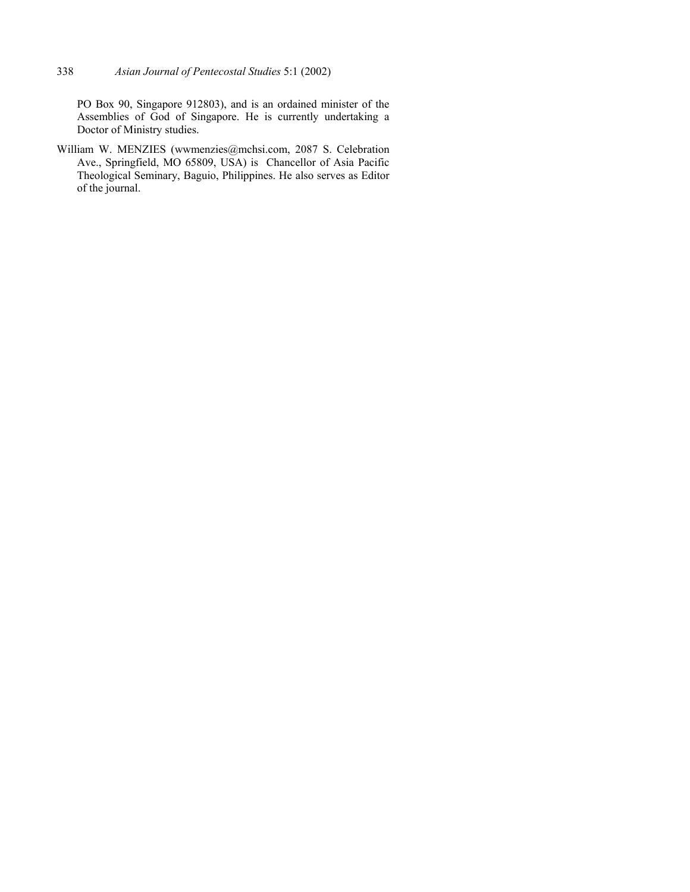PO Box 90, Singapore 912803), and is an ordained minister of the Assemblies of God of Singapore. He is currently undertaking a Doctor of Ministry studies.

William W. MENZIES (wwmenzies@mchsi.com, 2087 S. Celebration Ave., Springfield, MO 65809, USA) is Chancellor of Asia Pacific Theological Seminary, Baguio, Philippines. He also serves as Editor of the journal.